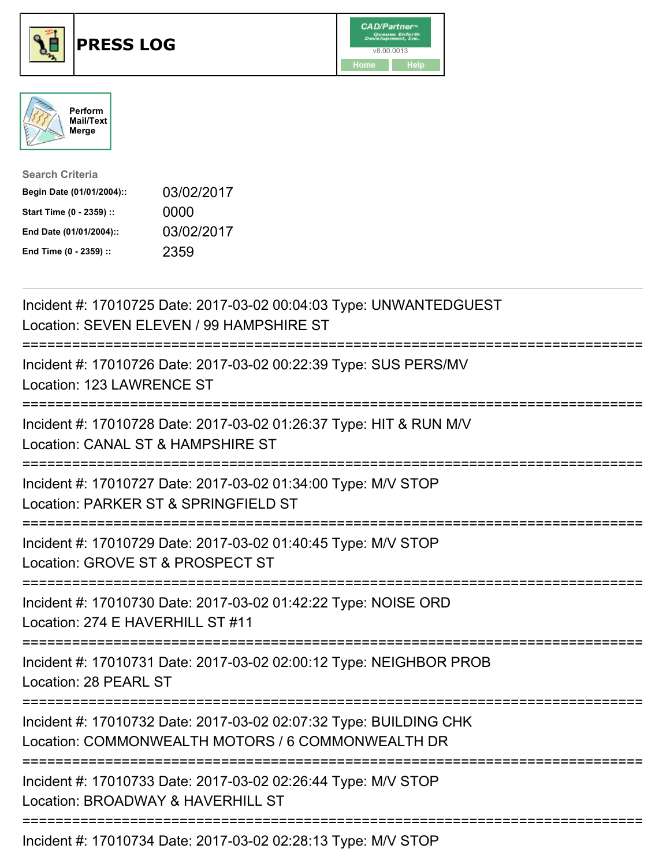





| <b>Search Criteria</b>    |            |
|---------------------------|------------|
| Begin Date (01/01/2004):: | 03/02/2017 |
| Start Time (0 - 2359) ::  | 0000       |
| End Date (01/01/2004)::   | 03/02/2017 |
| End Time (0 - 2359) ::    | 2359       |

| Incident #: 17010725 Date: 2017-03-02 00:04:03 Type: UNWANTEDGUEST<br>Location: SEVEN ELEVEN / 99 HAMPSHIRE ST                                 |
|------------------------------------------------------------------------------------------------------------------------------------------------|
| Incident #: 17010726 Date: 2017-03-02 00:22:39 Type: SUS PERS/MV<br>Location: 123 LAWRENCE ST                                                  |
| Incident #: 17010728 Date: 2017-03-02 01:26:37 Type: HIT & RUN M/V<br>Location: CANAL ST & HAMPSHIRE ST                                        |
| Incident #: 17010727 Date: 2017-03-02 01:34:00 Type: M/V STOP<br>Location: PARKER ST & SPRINGFIELD ST                                          |
| Incident #: 17010729 Date: 2017-03-02 01:40:45 Type: M/V STOP<br>Location: GROVE ST & PROSPECT ST                                              |
| Incident #: 17010730 Date: 2017-03-02 01:42:22 Type: NOISE ORD<br>Location: 274 E HAVERHILL ST #11<br>==============                           |
| Incident #: 17010731 Date: 2017-03-02 02:00:12 Type: NEIGHBOR PROB<br>Location: 28 PEARL ST                                                    |
| ====================<br>Incident #: 17010732 Date: 2017-03-02 02:07:32 Type: BUILDING CHK<br>Location: COMMONWEALTH MOTORS / 6 COMMONWEALTH DR |
| Incident #: 17010733 Date: 2017-03-02 02:26:44 Type: M/V STOP<br>Location: BROADWAY & HAVERHILL ST                                             |
| Incident #: 17010734 Date: 2017-03-02 02:28:13 Type: M/V STOP                                                                                  |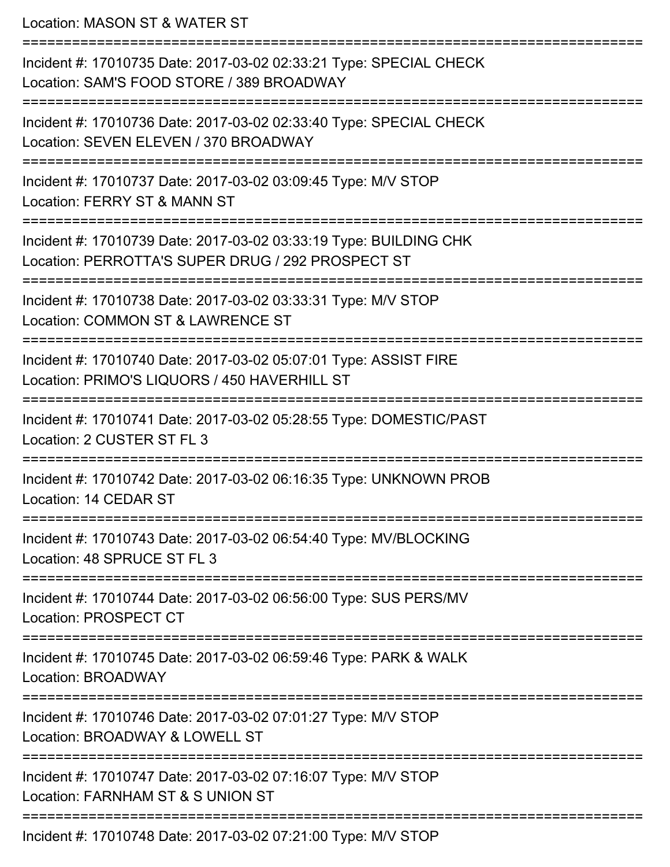Location: MASON ST & WATER ST

=========================================================================== Incident #: 17010735 Date: 2017-03-02 02:33:21 Type: SPECIAL CHECK Location: SAM'S FOOD STORE / 389 BROADWAY =========================================================================== Incident #: 17010736 Date: 2017-03-02 02:33:40 Type: SPECIAL CHECK Location: SEVEN ELEVEN / 370 BROADWAY =========================================================================== Incident #: 17010737 Date: 2017-03-02 03:09:45 Type: M/V STOP Location: FERRY ST & MANN ST =========================================================================== Incident #: 17010739 Date: 2017-03-02 03:33:19 Type: BUILDING CHK Location: PERROTTA'S SUPER DRUG / 292 PROSPECT ST =========================================================================== Incident #: 17010738 Date: 2017-03-02 03:33:31 Type: M/V STOP Location: COMMON ST & LAWRENCE ST =========================================================================== Incident #: 17010740 Date: 2017-03-02 05:07:01 Type: ASSIST FIRE Location: PRIMO'S LIQUORS / 450 HAVERHILL ST =========================================================================== Incident #: 17010741 Date: 2017-03-02 05:28:55 Type: DOMESTIC/PAST Location: 2 CUSTER ST FL 3 =========================================================================== Incident #: 17010742 Date: 2017-03-02 06:16:35 Type: UNKNOWN PROB Location: 14 CEDAR ST =========================================================================== Incident #: 17010743 Date: 2017-03-02 06:54:40 Type: MV/BLOCKING Location: 48 SPRUCE ST FL 3 =========================================================================== Incident #: 17010744 Date: 2017-03-02 06:56:00 Type: SUS PERS/MV Location: PROSPECT CT =========================================================================== Incident #: 17010745 Date: 2017-03-02 06:59:46 Type: PARK & WALK Location: BROADWAY =========================================================================== Incident #: 17010746 Date: 2017-03-02 07:01:27 Type: M/V STOP Location: BROADWAY & LOWELL ST =========================================================================== Incident #: 17010747 Date: 2017-03-02 07:16:07 Type: M/V STOP Location: FARNHAM ST & S UNION ST =========================================================================== Incident #: 17010748 Date: 2017-03-02 07:21:00 Type: M/V STOP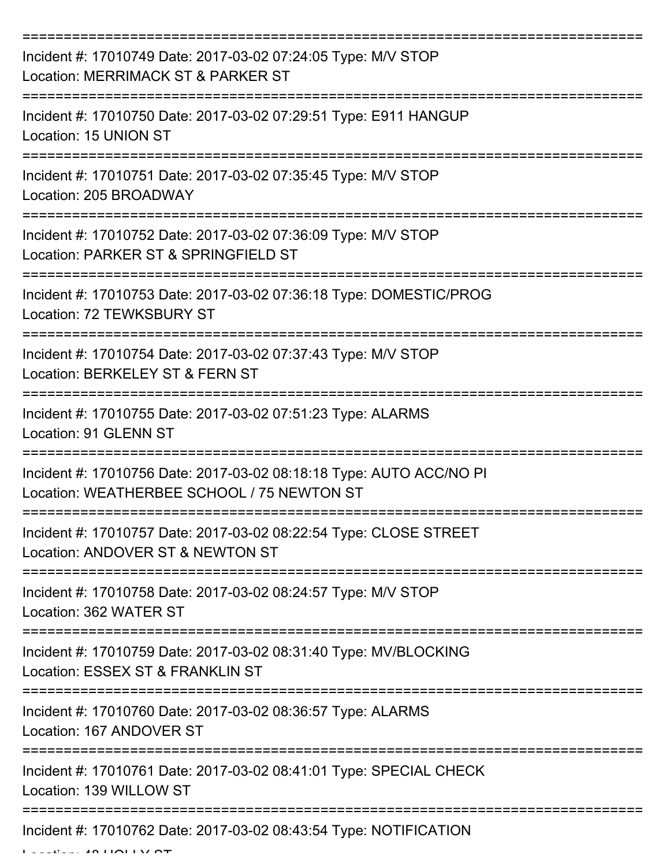| Incident #: 17010749 Date: 2017-03-02 07:24:05 Type: M/V STOP<br>Location: MERRIMACK ST & PARKER ST               |
|-------------------------------------------------------------------------------------------------------------------|
| Incident #: 17010750 Date: 2017-03-02 07:29:51 Type: E911 HANGUP<br>Location: 15 UNION ST                         |
| Incident #: 17010751 Date: 2017-03-02 07:35:45 Type: M/V STOP<br>Location: 205 BROADWAY                           |
| Incident #: 17010752 Date: 2017-03-02 07:36:09 Type: M/V STOP<br>Location: PARKER ST & SPRINGFIELD ST             |
| Incident #: 17010753 Date: 2017-03-02 07:36:18 Type: DOMESTIC/PROG<br>Location: 72 TEWKSBURY ST                   |
| Incident #: 17010754 Date: 2017-03-02 07:37:43 Type: M/V STOP<br>Location: BERKELEY ST & FERN ST                  |
| Incident #: 17010755 Date: 2017-03-02 07:51:23 Type: ALARMS<br>Location: 91 GLENN ST                              |
| Incident #: 17010756 Date: 2017-03-02 08:18:18 Type: AUTO ACC/NO PI<br>Location: WEATHERBEE SCHOOL / 75 NEWTON ST |
| Incident #: 17010757 Date: 2017-03-02 08:22:54 Type: CLOSE STREET<br>Location: ANDOVER ST & NEWTON ST             |
| Incident #: 17010758 Date: 2017-03-02 08:24:57 Type: M/V STOP<br>Location: 362 WATER ST                           |
| Incident #: 17010759 Date: 2017-03-02 08:31:40 Type: MV/BLOCKING<br>Location: ESSEX ST & FRANKLIN ST              |
| Incident #: 17010760 Date: 2017-03-02 08:36:57 Type: ALARMS<br>Location: 167 ANDOVER ST                           |
| Incident #: 17010761 Date: 2017-03-02 08:41:01 Type: SPECIAL CHECK<br>Location: 139 WILLOW ST                     |
| Incident #: 17010762 Date: 2017-03-02 08:43:54 Type: NOTIFICATION                                                 |

 $L = L$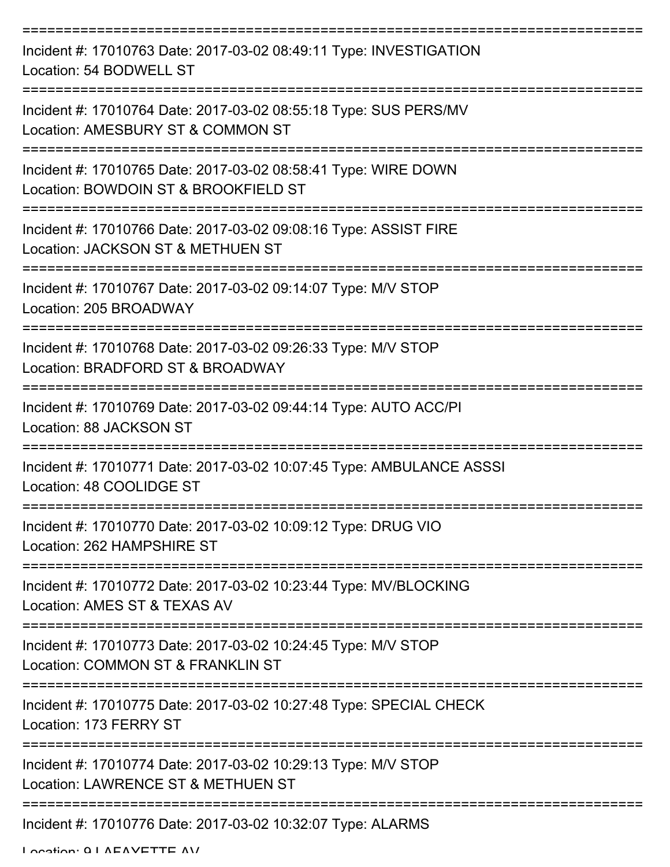| Incident #: 17010763 Date: 2017-03-02 08:49:11 Type: INVESTIGATION<br>Location: 54 BODWELL ST                               |
|-----------------------------------------------------------------------------------------------------------------------------|
| Incident #: 17010764 Date: 2017-03-02 08:55:18 Type: SUS PERS/MV<br>Location: AMESBURY ST & COMMON ST                       |
| Incident #: 17010765 Date: 2017-03-02 08:58:41 Type: WIRE DOWN<br>Location: BOWDOIN ST & BROOKFIELD ST                      |
| Incident #: 17010766 Date: 2017-03-02 09:08:16 Type: ASSIST FIRE<br>Location: JACKSON ST & METHUEN ST                       |
| Incident #: 17010767 Date: 2017-03-02 09:14:07 Type: M/V STOP<br>Location: 205 BROADWAY                                     |
| ======================<br>Incident #: 17010768 Date: 2017-03-02 09:26:33 Type: M/V STOP<br>Location: BRADFORD ST & BROADWAY |
| Incident #: 17010769 Date: 2017-03-02 09:44:14 Type: AUTO ACC/PI<br>Location: 88 JACKSON ST                                 |
| Incident #: 17010771 Date: 2017-03-02 10:07:45 Type: AMBULANCE ASSSI<br>Location: 48 COOLIDGE ST                            |
| Incident #: 17010770 Date: 2017-03-02 10:09:12 Type: DRUG VIO<br>Location: 262 HAMPSHIRE ST                                 |
| Incident #: 17010772 Date: 2017-03-02 10:23:44 Type: MV/BLOCKING<br>Location: AMES ST & TEXAS AV                            |
| Incident #: 17010773 Date: 2017-03-02 10:24:45 Type: M/V STOP<br>Location: COMMON ST & FRANKLIN ST                          |
| Incident #: 17010775 Date: 2017-03-02 10:27:48 Type: SPECIAL CHECK<br>Location: 173 FERRY ST                                |
| Incident #: 17010774 Date: 2017-03-02 10:29:13 Type: M/V STOP<br>Location: LAWRENCE ST & METHUEN ST                         |
| Incident #: 17010776 Date: 2017-03-02 10:32:07 Type: ALARMS                                                                 |

Location: 9 LAFAYETTE AV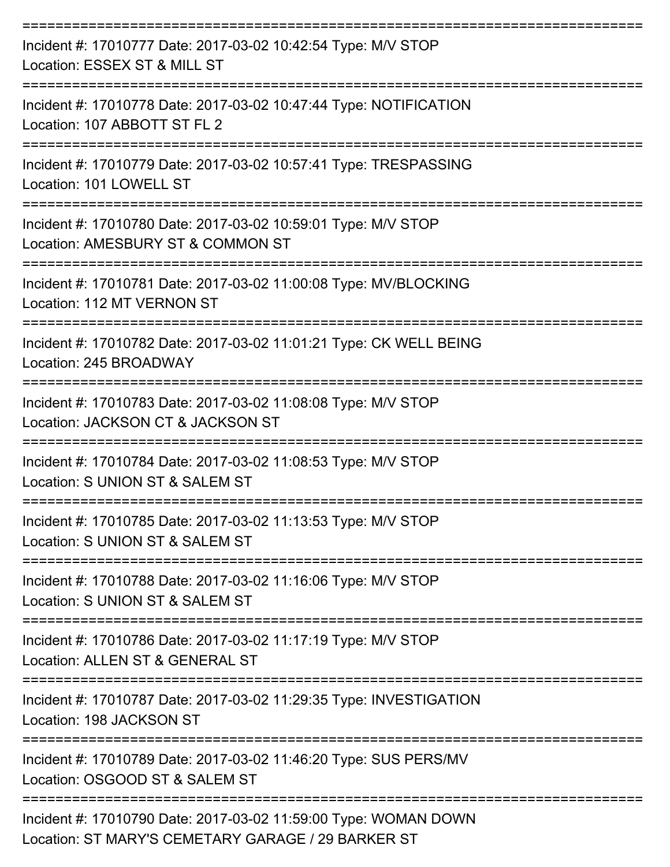| Incident #: 17010777 Date: 2017-03-02 10:42:54 Type: M/V STOP<br>Location: ESSEX ST & MILL ST                         |
|-----------------------------------------------------------------------------------------------------------------------|
| Incident #: 17010778 Date: 2017-03-02 10:47:44 Type: NOTIFICATION<br>Location: 107 ABBOTT ST FL 2                     |
| Incident #: 17010779 Date: 2017-03-02 10:57:41 Type: TRESPASSING<br>Location: 101 LOWELL ST                           |
| Incident #: 17010780 Date: 2017-03-02 10:59:01 Type: M/V STOP<br>Location: AMESBURY ST & COMMON ST                    |
| Incident #: 17010781 Date: 2017-03-02 11:00:08 Type: MV/BLOCKING<br>Location: 112 MT VERNON ST                        |
| Incident #: 17010782 Date: 2017-03-02 11:01:21 Type: CK WELL BEING<br>Location: 245 BROADWAY                          |
| Incident #: 17010783 Date: 2017-03-02 11:08:08 Type: M/V STOP<br>Location: JACKSON CT & JACKSON ST                    |
| Incident #: 17010784 Date: 2017-03-02 11:08:53 Type: M/V STOP<br>Location: S UNION ST & SALEM ST                      |
| Incident #: 17010785 Date: 2017-03-02 11:13:53 Type: M/V STOP<br>Location: S UNION ST & SALEM ST                      |
| Incident #: 17010788 Date: 2017-03-02 11:16:06 Type: M/V STOP<br>Location: S UNION ST & SALEM ST                      |
| Incident #: 17010786 Date: 2017-03-02 11:17:19 Type: M/V STOP<br>Location: ALLEN ST & GENERAL ST                      |
| Incident #: 17010787 Date: 2017-03-02 11:29:35 Type: INVESTIGATION<br>Location: 198 JACKSON ST                        |
| Incident #: 17010789 Date: 2017-03-02 11:46:20 Type: SUS PERS/MV<br>Location: OSGOOD ST & SALEM ST                    |
| Incident #: 17010790 Date: 2017-03-02 11:59:00 Type: WOMAN DOWN<br>Location: ST MARY'S CEMETARY GARAGE / 29 BARKER ST |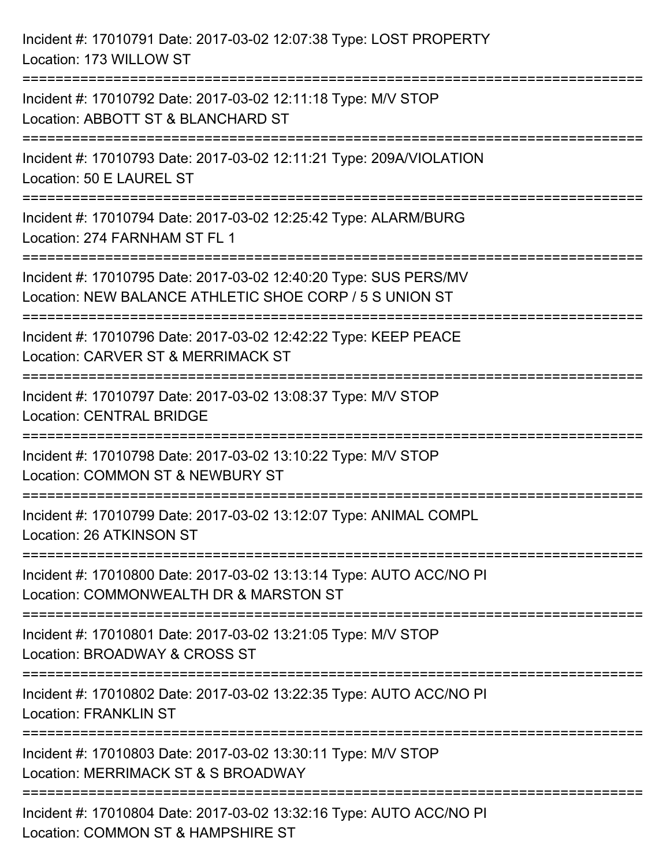| Incident #: 17010791 Date: 2017-03-02 12:07:38 Type: LOST PROPERTY<br>Location: 173 WILLOW ST                                                                |
|--------------------------------------------------------------------------------------------------------------------------------------------------------------|
| Incident #: 17010792 Date: 2017-03-02 12:11:18 Type: M/V STOP<br>Location: ABBOTT ST & BLANCHARD ST                                                          |
| Incident #: 17010793 Date: 2017-03-02 12:11:21 Type: 209A/VIOLATION<br>Location: 50 E LAUREL ST                                                              |
| Incident #: 17010794 Date: 2017-03-02 12:25:42 Type: ALARM/BURG<br>Location: 274 FARNHAM ST FL 1                                                             |
| Incident #: 17010795 Date: 2017-03-02 12:40:20 Type: SUS PERS/MV<br>Location: NEW BALANCE ATHLETIC SHOE CORP / 5 S UNION ST<br>----------------------------- |
| Incident #: 17010796 Date: 2017-03-02 12:42:22 Type: KEEP PEACE<br>Location: CARVER ST & MERRIMACK ST                                                        |
| Incident #: 17010797 Date: 2017-03-02 13:08:37 Type: M/V STOP<br><b>Location: CENTRAL BRIDGE</b><br>===============                                          |
| Incident #: 17010798 Date: 2017-03-02 13:10:22 Type: M/V STOP<br>Location: COMMON ST & NEWBURY ST                                                            |
| Incident #: 17010799 Date: 2017-03-02 13:12:07 Type: ANIMAL COMPL<br>Location: 26 ATKINSON ST                                                                |
| Incident #: 17010800 Date: 2017-03-02 13:13:14 Type: AUTO ACC/NO PI<br>Location: COMMONWEALTH DR & MARSTON ST                                                |
| Incident #: 17010801 Date: 2017-03-02 13:21:05 Type: M/V STOP<br>Location: BROADWAY & CROSS ST                                                               |
| Incident #: 17010802 Date: 2017-03-02 13:22:35 Type: AUTO ACC/NO PI<br><b>Location: FRANKLIN ST</b>                                                          |
| Incident #: 17010803 Date: 2017-03-02 13:30:11 Type: M/V STOP<br>Location: MERRIMACK ST & S BROADWAY                                                         |
| Incident #: 17010804 Date: 2017-03-02 13:32:16 Type: AUTO ACC/NO PI<br>Location: COMMON ST & HAMPSHIRE ST                                                    |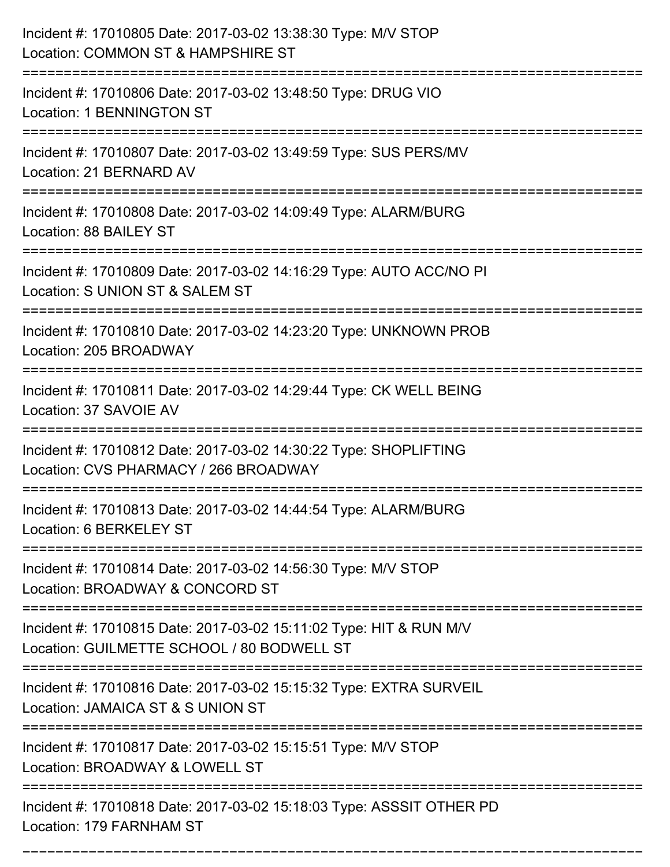| Incident #: 17010805 Date: 2017-03-02 13:38:30 Type: M/V STOP<br>Location: COMMON ST & HAMPSHIRE ST                               |
|-----------------------------------------------------------------------------------------------------------------------------------|
| Incident #: 17010806 Date: 2017-03-02 13:48:50 Type: DRUG VIO<br><b>Location: 1 BENNINGTON ST</b>                                 |
| Incident #: 17010807 Date: 2017-03-02 13:49:59 Type: SUS PERS/MV<br>Location: 21 BERNARD AV                                       |
| Incident #: 17010808 Date: 2017-03-02 14:09:49 Type: ALARM/BURG<br>Location: 88 BAILEY ST                                         |
| Incident #: 17010809 Date: 2017-03-02 14:16:29 Type: AUTO ACC/NO PI<br>Location: S UNION ST & SALEM ST                            |
| Incident #: 17010810 Date: 2017-03-02 14:23:20 Type: UNKNOWN PROB<br>Location: 205 BROADWAY                                       |
| Incident #: 17010811 Date: 2017-03-02 14:29:44 Type: CK WELL BEING<br>Location: 37 SAVOIE AV                                      |
| ====================<br>Incident #: 17010812 Date: 2017-03-02 14:30:22 Type: SHOPLIFTING<br>Location: CVS PHARMACY / 266 BROADWAY |
| Incident #: 17010813 Date: 2017-03-02 14:44:54 Type: ALARM/BURG<br>Location: 6 BERKELEY ST                                        |
| Incident #: 17010814 Date: 2017-03-02 14:56:30 Type: M/V STOP<br>Location: BROADWAY & CONCORD ST                                  |
| Incident #: 17010815 Date: 2017-03-02 15:11:02 Type: HIT & RUN M/V<br>Location: GUILMETTE SCHOOL / 80 BODWELL ST                  |
| Incident #: 17010816 Date: 2017-03-02 15:15:32 Type: EXTRA SURVEIL<br>Location: JAMAICA ST & S UNION ST                           |
| Incident #: 17010817 Date: 2017-03-02 15:15:51 Type: M/V STOP<br>Location: BROADWAY & LOWELL ST                                   |
| Incident #: 17010818 Date: 2017-03-02 15:18:03 Type: ASSSIT OTHER PD<br>Location: 179 FARNHAM ST                                  |

===========================================================================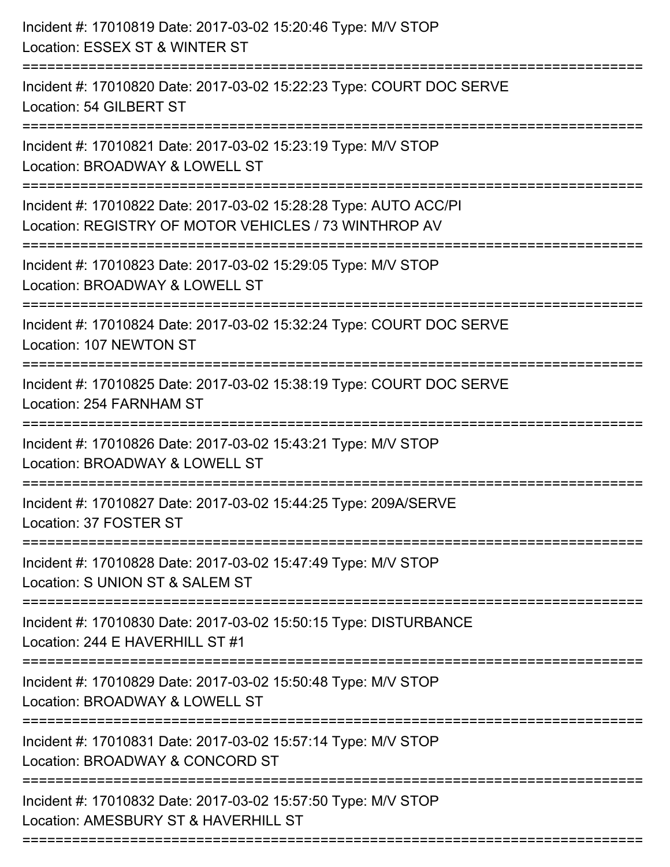| Incident #: 17010819 Date: 2017-03-02 15:20:46 Type: M/V STOP<br>Location: ESSEX ST & WINTER ST                           |
|---------------------------------------------------------------------------------------------------------------------------|
| Incident #: 17010820 Date: 2017-03-02 15:22:23 Type: COURT DOC SERVE<br>Location: 54 GILBERT ST                           |
| Incident #: 17010821 Date: 2017-03-02 15:23:19 Type: M/V STOP<br>Location: BROADWAY & LOWELL ST                           |
| Incident #: 17010822 Date: 2017-03-02 15:28:28 Type: AUTO ACC/PI<br>Location: REGISTRY OF MOTOR VEHICLES / 73 WINTHROP AV |
| Incident #: 17010823 Date: 2017-03-02 15:29:05 Type: M/V STOP<br>Location: BROADWAY & LOWELL ST                           |
| Incident #: 17010824 Date: 2017-03-02 15:32:24 Type: COURT DOC SERVE<br>Location: 107 NEWTON ST                           |
| Incident #: 17010825 Date: 2017-03-02 15:38:19 Type: COURT DOC SERVE<br>Location: 254 FARNHAM ST                          |
| Incident #: 17010826 Date: 2017-03-02 15:43:21 Type: M/V STOP<br>Location: BROADWAY & LOWELL ST                           |
| Incident #: 17010827 Date: 2017-03-02 15:44:25 Type: 209A/SERVE<br>Location: 37 FOSTER ST                                 |
| Incident #: 17010828 Date: 2017-03-02 15:47:49 Type: M/V STOP<br>Location: S UNION ST & SALEM ST                          |
| Incident #: 17010830 Date: 2017-03-02 15:50:15 Type: DISTURBANCE<br>Location: 244 E HAVERHILL ST #1                       |
| Incident #: 17010829 Date: 2017-03-02 15:50:48 Type: M/V STOP<br>Location: BROADWAY & LOWELL ST                           |
| Incident #: 17010831 Date: 2017-03-02 15:57:14 Type: M/V STOP<br>Location: BROADWAY & CONCORD ST                          |
| Incident #: 17010832 Date: 2017-03-02 15:57:50 Type: M/V STOP<br>Location: AMESBURY ST & HAVERHILL ST                     |
|                                                                                                                           |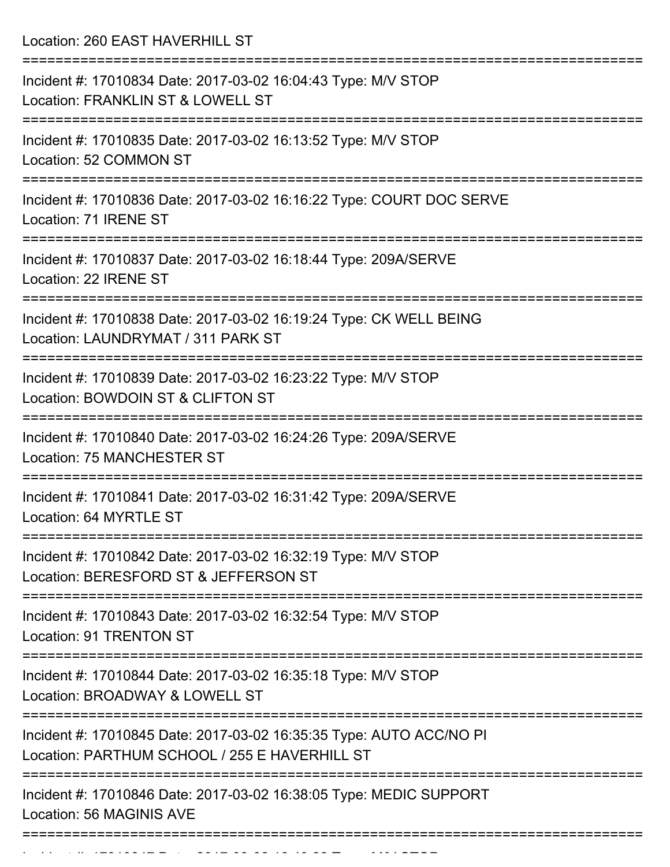Location: 260 EAST HAVERHILL ST

| Incident #: 17010834 Date: 2017-03-02 16:04:43 Type: M/V STOP<br>Location: FRANKLIN ST & LOWELL ST                   |
|----------------------------------------------------------------------------------------------------------------------|
| Incident #: 17010835 Date: 2017-03-02 16:13:52 Type: M/V STOP<br>Location: 52 COMMON ST                              |
| Incident #: 17010836 Date: 2017-03-02 16:16:22 Type: COURT DOC SERVE<br>Location: 71 IRENE ST                        |
| Incident #: 17010837 Date: 2017-03-02 16:18:44 Type: 209A/SERVE<br>Location: 22 IRENE ST                             |
| Incident #: 17010838 Date: 2017-03-02 16:19:24 Type: CK WELL BEING<br>Location: LAUNDRYMAT / 311 PARK ST             |
| Incident #: 17010839 Date: 2017-03-02 16:23:22 Type: M/V STOP<br>Location: BOWDOIN ST & CLIFTON ST                   |
| Incident #: 17010840 Date: 2017-03-02 16:24:26 Type: 209A/SERVE<br><b>Location: 75 MANCHESTER ST</b>                 |
| Incident #: 17010841 Date: 2017-03-02 16:31:42 Type: 209A/SERVE<br>Location: 64 MYRTLE ST                            |
| Incident #: 17010842 Date: 2017-03-02 16:32:19 Type: M/V STOP<br>Location: BERESFORD ST & JEFFERSON ST               |
| Incident #: 17010843 Date: 2017-03-02 16:32:54 Type: M/V STOP<br>Location: 91 TRENTON ST                             |
| Incident #: 17010844 Date: 2017-03-02 16:35:18 Type: M/V STOP<br>Location: BROADWAY & LOWELL ST                      |
| Incident #: 17010845 Date: 2017-03-02 16:35:35 Type: AUTO ACC/NO PI<br>Location: PARTHUM SCHOOL / 255 E HAVERHILL ST |
| Incident #: 17010846 Date: 2017-03-02 16:38:05 Type: MEDIC SUPPORT<br>Location: 56 MAGINIS AVE                       |
|                                                                                                                      |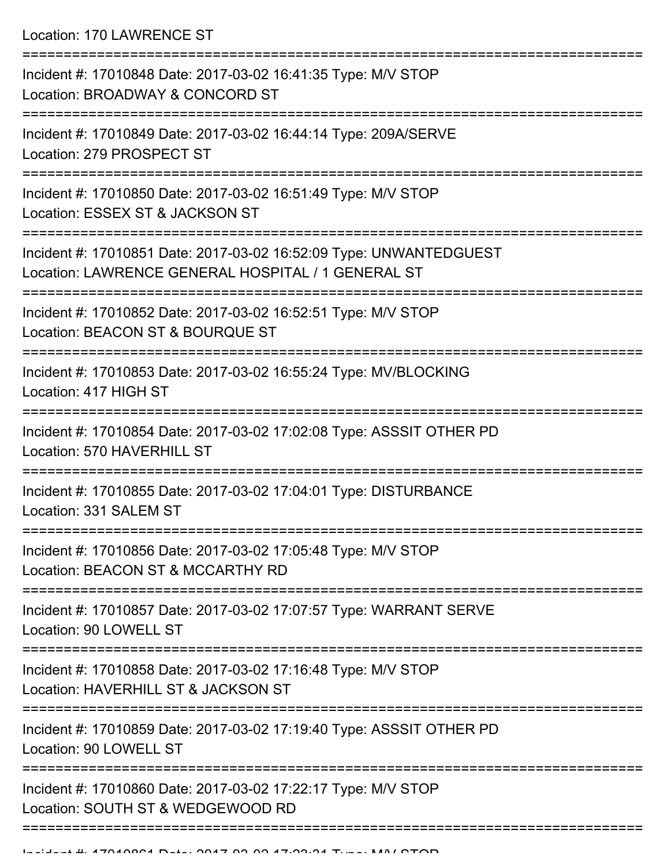Location: 170 LAWRENCE ST

| Incident #: 17010848 Date: 2017-03-02 16:41:35 Type: M/V STOP<br>Location: BROADWAY & CONCORD ST                         |
|--------------------------------------------------------------------------------------------------------------------------|
| Incident #: 17010849 Date: 2017-03-02 16:44:14 Type: 209A/SERVE<br>Location: 279 PROSPECT ST                             |
| Incident #: 17010850 Date: 2017-03-02 16:51:49 Type: M/V STOP<br>Location: ESSEX ST & JACKSON ST                         |
| Incident #: 17010851 Date: 2017-03-02 16:52:09 Type: UNWANTEDGUEST<br>Location: LAWRENCE GENERAL HOSPITAL / 1 GENERAL ST |
| Incident #: 17010852 Date: 2017-03-02 16:52:51 Type: M/V STOP<br>Location: BEACON ST & BOURQUE ST                        |
| Incident #: 17010853 Date: 2017-03-02 16:55:24 Type: MV/BLOCKING<br>Location: 417 HIGH ST                                |
| Incident #: 17010854 Date: 2017-03-02 17:02:08 Type: ASSSIT OTHER PD<br>Location: 570 HAVERHILL ST                       |
| Incident #: 17010855 Date: 2017-03-02 17:04:01 Type: DISTURBANCE<br>Location: 331 SALEM ST                               |
| Incident #: 17010856 Date: 2017-03-02 17:05:48 Type: M/V STOP<br>Location: BEACON ST & MCCARTHY RD                       |
| Incident #: 17010857 Date: 2017-03-02 17:07:57 Type: WARRANT SERVE<br>Location: 90 LOWELL ST                             |
| Incident #: 17010858 Date: 2017-03-02 17:16:48 Type: M/V STOP<br>Location: HAVERHILL ST & JACKSON ST                     |
| Incident #: 17010859 Date: 2017-03-02 17:19:40 Type: ASSSIT OTHER PD<br>Location: 90 LOWELL ST                           |
| Incident #: 17010860 Date: 2017-03-02 17:22:17 Type: M/V STOP<br>Location: SOUTH ST & WEDGEWOOD RD                       |
|                                                                                                                          |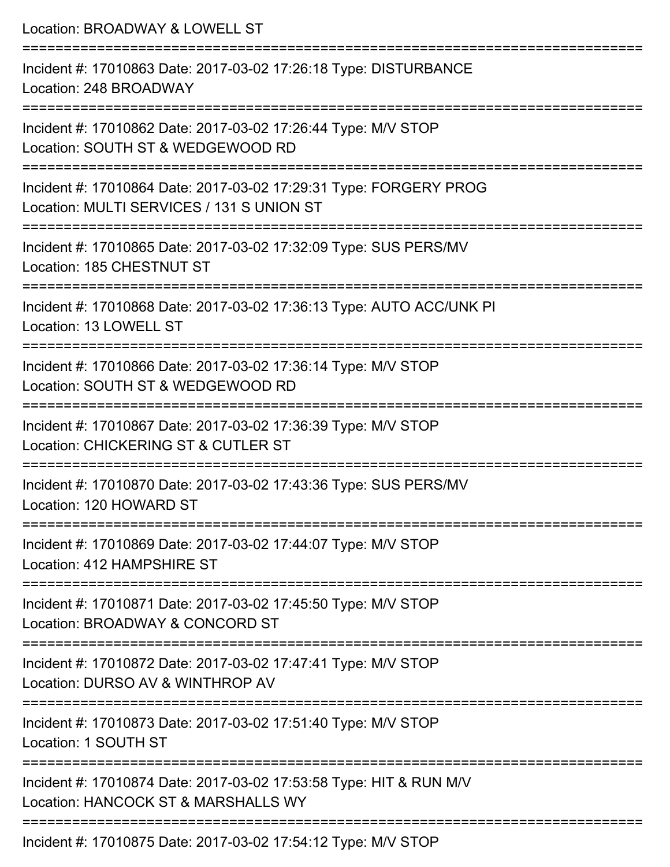| Location: BROADWAY & LOWELL ST                                                                                                                               |
|--------------------------------------------------------------------------------------------------------------------------------------------------------------|
| Incident #: 17010863 Date: 2017-03-02 17:26:18 Type: DISTURBANCE<br>Location: 248 BROADWAY<br>:===================================                           |
| Incident #: 17010862 Date: 2017-03-02 17:26:44 Type: M/V STOP<br>Location: SOUTH ST & WEDGEWOOD RD                                                           |
| Incident #: 17010864 Date: 2017-03-02 17:29:31 Type: FORGERY PROG<br>Location: MULTI SERVICES / 131 S UNION ST                                               |
| =============================<br>Incident #: 17010865 Date: 2017-03-02 17:32:09 Type: SUS PERS/MV<br>Location: 185 CHESTNUT ST                               |
| Incident #: 17010868 Date: 2017-03-02 17:36:13 Type: AUTO ACC/UNK PI<br>Location: 13 LOWELL ST                                                               |
| :=============================<br>====================<br>Incident #: 17010866 Date: 2017-03-02 17:36:14 Type: M/V STOP<br>Location: SOUTH ST & WEDGEWOOD RD |
| =====================<br>Incident #: 17010867 Date: 2017-03-02 17:36:39 Type: M/V STOP<br>Location: CHICKERING ST & CUTLER ST                                |
| Incident #: 17010870 Date: 2017-03-02 17:43:36 Type: SUS PERS/MV<br>Location: 120 HOWARD ST                                                                  |
| -----------------------------<br>Incident #: 17010869 Date: 2017-03-02 17:44:07 Type: M/V STOP<br>Location: 412 HAMPSHIRE ST                                 |
| ============<br>Incident #: 17010871 Date: 2017-03-02 17:45:50 Type: M/V STOP<br>Location: BROADWAY & CONCORD ST                                             |
| Incident #: 17010872 Date: 2017-03-02 17:47:41 Type: M/V STOP<br>Location: DURSO AV & WINTHROP AV                                                            |
| Incident #: 17010873 Date: 2017-03-02 17:51:40 Type: M/V STOP<br>Location: 1 SOUTH ST                                                                        |
| Incident #: 17010874 Date: 2017-03-02 17:53:58 Type: HIT & RUN M/V<br>Location: HANCOCK ST & MARSHALLS WY                                                    |
| Incident #: 17010875 Date: 2017-03-02 17:54:12 Type: M/V STOP                                                                                                |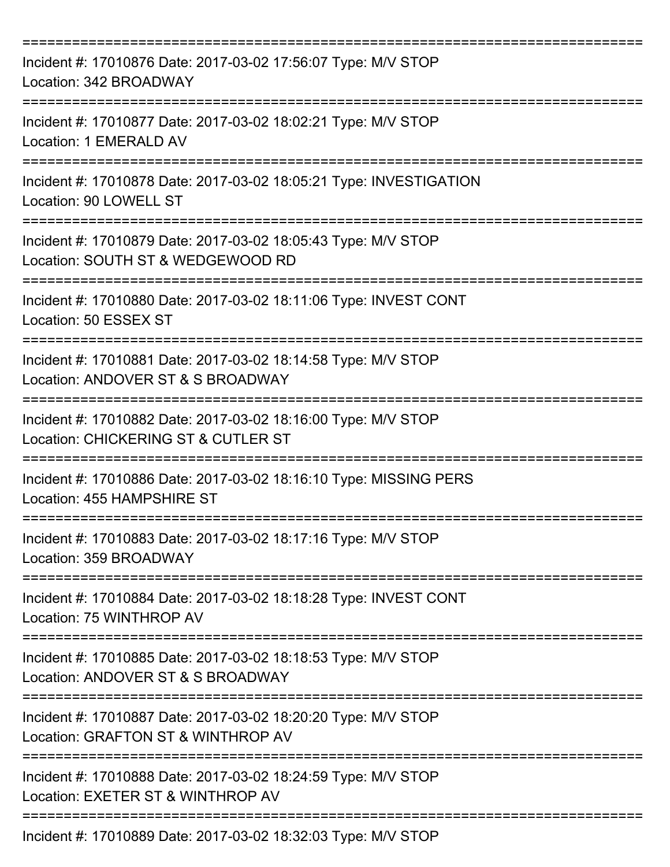| Incident #: 17010876 Date: 2017-03-02 17:56:07 Type: M/V STOP<br>Location: 342 BROADWAY              |
|------------------------------------------------------------------------------------------------------|
| Incident #: 17010877 Date: 2017-03-02 18:02:21 Type: M/V STOP<br>Location: 1 EMERALD AV              |
| Incident #: 17010878 Date: 2017-03-02 18:05:21 Type: INVESTIGATION<br>Location: 90 LOWELL ST         |
| Incident #: 17010879 Date: 2017-03-02 18:05:43 Type: M/V STOP<br>Location: SOUTH ST & WEDGEWOOD RD   |
| Incident #: 17010880 Date: 2017-03-02 18:11:06 Type: INVEST CONT<br>Location: 50 ESSEX ST            |
| Incident #: 17010881 Date: 2017-03-02 18:14:58 Type: M/V STOP<br>Location: ANDOVER ST & S BROADWAY   |
| Incident #: 17010882 Date: 2017-03-02 18:16:00 Type: M/V STOP<br>Location: CHICKERING ST & CUTLER ST |
| Incident #: 17010886 Date: 2017-03-02 18:16:10 Type: MISSING PERS<br>Location: 455 HAMPSHIRE ST      |
| Incident #: 17010883 Date: 2017-03-02 18:17:16 Type: M/V STOP<br>Location: 359 BROADWAY              |
| Incident #: 17010884 Date: 2017-03-02 18:18:28 Type: INVEST CONT<br>Location: 75 WINTHROP AV         |
| Incident #: 17010885 Date: 2017-03-02 18:18:53 Type: M/V STOP<br>Location: ANDOVER ST & S BROADWAY   |
| Incident #: 17010887 Date: 2017-03-02 18:20:20 Type: M/V STOP<br>Location: GRAFTON ST & WINTHROP AV  |
| Incident #: 17010888 Date: 2017-03-02 18:24:59 Type: M/V STOP<br>Location: EXETER ST & WINTHROP AV   |
| Incident #: 17010889 Date: 2017-03-02 18:32:03 Type: M/V STOP                                        |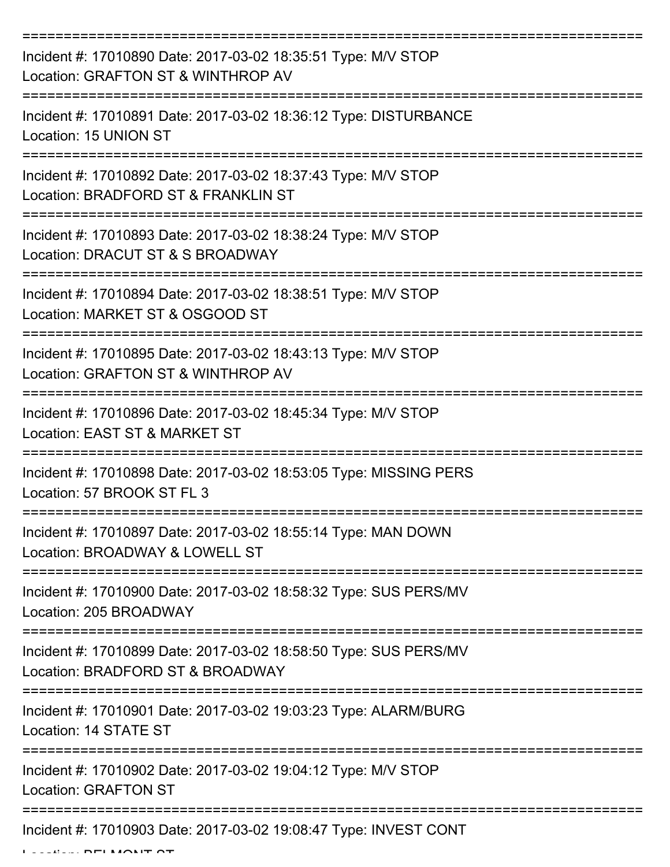| Incident #: 17010890 Date: 2017-03-02 18:35:51 Type: M/V STOP<br>Location: GRAFTON ST & WINTHROP AV  |
|------------------------------------------------------------------------------------------------------|
| Incident #: 17010891 Date: 2017-03-02 18:36:12 Type: DISTURBANCE<br>Location: 15 UNION ST            |
| Incident #: 17010892 Date: 2017-03-02 18:37:43 Type: M/V STOP<br>Location: BRADFORD ST & FRANKLIN ST |
| Incident #: 17010893 Date: 2017-03-02 18:38:24 Type: M/V STOP<br>Location: DRACUT ST & S BROADWAY    |
| Incident #: 17010894 Date: 2017-03-02 18:38:51 Type: M/V STOP<br>Location: MARKET ST & OSGOOD ST     |
| Incident #: 17010895 Date: 2017-03-02 18:43:13 Type: M/V STOP<br>Location: GRAFTON ST & WINTHROP AV  |
| Incident #: 17010896 Date: 2017-03-02 18:45:34 Type: M/V STOP<br>Location: EAST ST & MARKET ST       |
| Incident #: 17010898 Date: 2017-03-02 18:53:05 Type: MISSING PERS<br>Location: 57 BROOK ST FL 3      |
| Incident #: 17010897 Date: 2017-03-02 18:55:14 Type: MAN DOWN<br>Location: BROADWAY & LOWELL ST      |
| Incident #: 17010900 Date: 2017-03-02 18:58:32 Type: SUS PERS/MV<br>Location: 205 BROADWAY           |
| Incident #: 17010899 Date: 2017-03-02 18:58:50 Type: SUS PERS/MV<br>Location: BRADFORD ST & BROADWAY |
| Incident #: 17010901 Date: 2017-03-02 19:03:23 Type: ALARM/BURG<br>Location: 14 STATE ST             |
| Incident #: 17010902 Date: 2017-03-02 19:04:12 Type: M/V STOP<br><b>Location: GRAFTON ST</b>         |
| Incident #: 17010903 Date: 2017-03-02 19:08:47 Type: INVEST CONT                                     |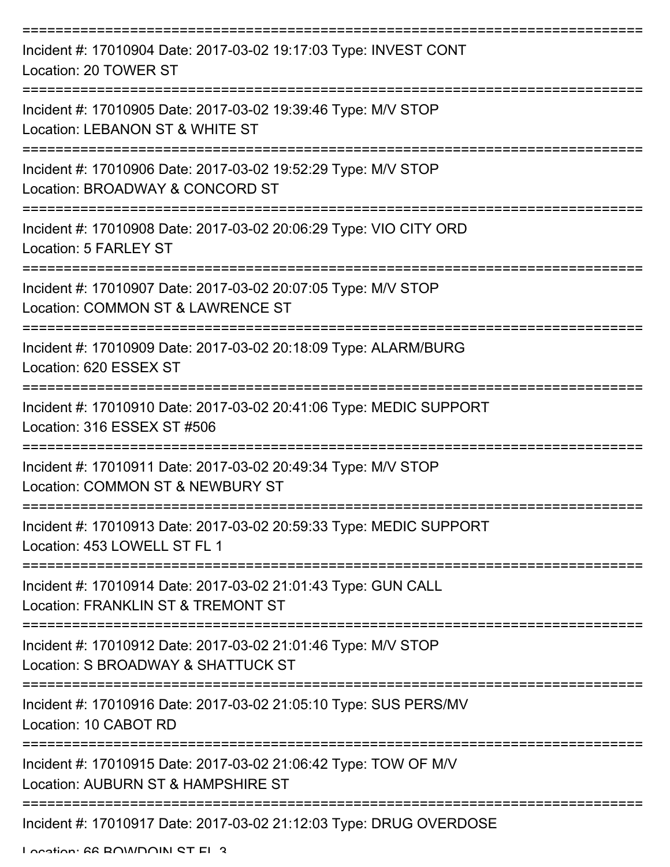| Incident #: 17010904 Date: 2017-03-02 19:17:03 Type: INVEST CONT<br>Location: 20 TOWER ST             |
|-------------------------------------------------------------------------------------------------------|
| Incident #: 17010905 Date: 2017-03-02 19:39:46 Type: M/V STOP<br>Location: LEBANON ST & WHITE ST      |
| Incident #: 17010906 Date: 2017-03-02 19:52:29 Type: M/V STOP<br>Location: BROADWAY & CONCORD ST      |
| Incident #: 17010908 Date: 2017-03-02 20:06:29 Type: VIO CITY ORD<br>Location: 5 FARLEY ST            |
| Incident #: 17010907 Date: 2017-03-02 20:07:05 Type: M/V STOP<br>Location: COMMON ST & LAWRENCE ST    |
| Incident #: 17010909 Date: 2017-03-02 20:18:09 Type: ALARM/BURG<br>Location: 620 ESSEX ST             |
| Incident #: 17010910 Date: 2017-03-02 20:41:06 Type: MEDIC SUPPORT<br>Location: 316 ESSEX ST #506     |
| Incident #: 17010911 Date: 2017-03-02 20:49:34 Type: M/V STOP<br>Location: COMMON ST & NEWBURY ST     |
| Incident #: 17010913 Date: 2017-03-02 20:59:33 Type: MEDIC SUPPORT<br>Location: 453 LOWELL ST FL 1    |
| Incident #: 17010914 Date: 2017-03-02 21:01:43 Type: GUN CALL<br>Location: FRANKLIN ST & TREMONT ST   |
| Incident #: 17010912 Date: 2017-03-02 21:01:46 Type: M/V STOP<br>Location: S BROADWAY & SHATTUCK ST   |
| Incident #: 17010916 Date: 2017-03-02 21:05:10 Type: SUS PERS/MV<br>Location: 10 CABOT RD             |
| Incident #: 17010915 Date: 2017-03-02 21:06:42 Type: TOW OF M/V<br>Location: AUBURN ST & HAMPSHIRE ST |
| Incident #: 17010917 Date: 2017-03-02 21:12:03 Type: DRUG OVERDOSE                                    |

Location: 66 BOWDOIN ST FL 3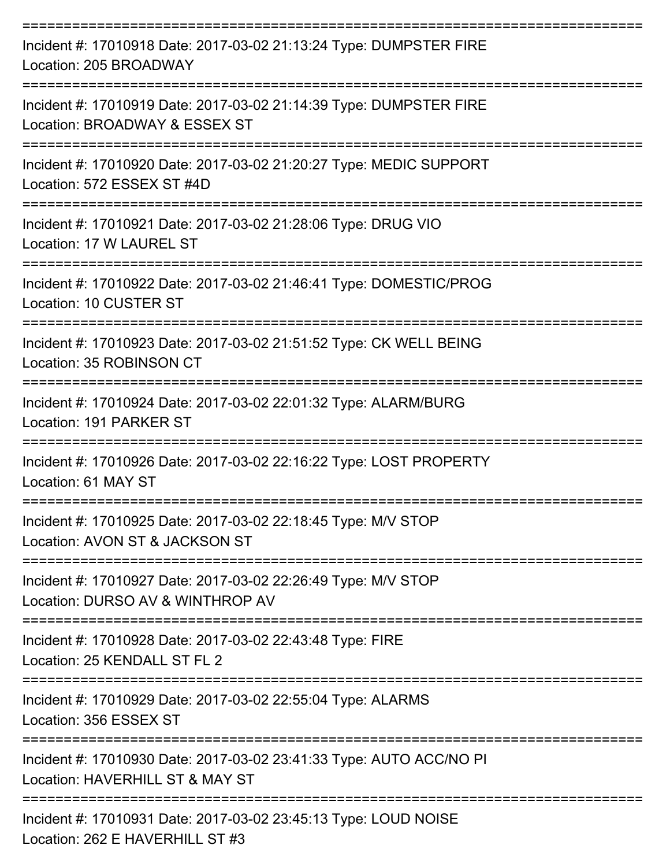| Incident #: 17010918 Date: 2017-03-02 21:13:24 Type: DUMPSTER FIRE<br>Location: 205 BROADWAY<br>------------------               |
|----------------------------------------------------------------------------------------------------------------------------------|
| Incident #: 17010919 Date: 2017-03-02 21:14:39 Type: DUMPSTER FIRE<br>Location: BROADWAY & ESSEX ST<br>==============            |
| Incident #: 17010920 Date: 2017-03-02 21:20:27 Type: MEDIC SUPPORT<br>Location: 572 ESSEX ST #4D                                 |
| Incident #: 17010921 Date: 2017-03-02 21:28:06 Type: DRUG VIO<br>Location: 17 W LAUREL ST                                        |
| Incident #: 17010922 Date: 2017-03-02 21:46:41 Type: DOMESTIC/PROG<br>Location: 10 CUSTER ST                                     |
| Incident #: 17010923 Date: 2017-03-02 21:51:52 Type: CK WELL BEING<br>Location: 35 ROBINSON CT                                   |
| Incident #: 17010924 Date: 2017-03-02 22:01:32 Type: ALARM/BURG<br>Location: 191 PARKER ST                                       |
| Incident #: 17010926 Date: 2017-03-02 22:16:22 Type: LOST PROPERTY<br>Location: 61 MAY ST                                        |
| Incident #: 17010925 Date: 2017-03-02 22:18:45 Type: M/V STOP<br>Location: AVON ST & JACKSON ST                                  |
| Incident #: 17010927 Date: 2017-03-02 22:26:49 Type: M/V STOP<br>Location: DURSO AV & WINTHROP AV                                |
| Incident #: 17010928 Date: 2017-03-02 22:43:48 Type: FIRE<br>Location: 25 KENDALL ST FL 2                                        |
| Incident #: 17010929 Date: 2017-03-02 22:55:04 Type: ALARMS<br>Location: 356 ESSEX ST                                            |
| Incident #: 17010930 Date: 2017-03-02 23:41:33 Type: AUTO ACC/NO PI<br>Location: HAVERHILL ST & MAY ST                           |
| Incident #: 17010931 Date: 2017-03-02 23:45:13 Type: LOUD NOISE<br>$A$ oction: $262$ $E$ $H$ $N$ $E$ $D$ $H$ $I$ $I$ $T$ $H$ $2$ |

Location: 262 E HAVERHILL ST #3